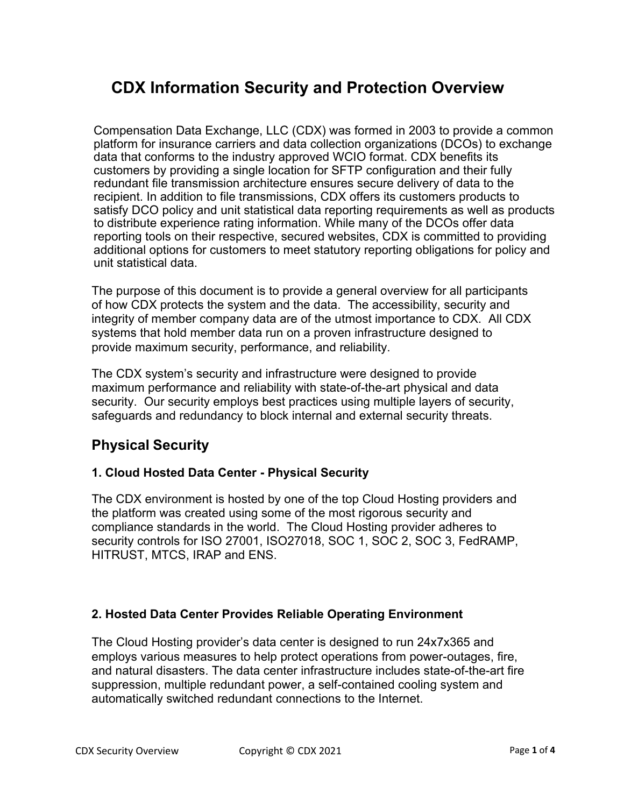# **CDX Information Security and Protection Overview**

Compensation Data Exchange, LLC (CDX) was formed in 2003 to provide a common platform for insurance carriers and data collection organizations (DCOs) to exchange data that conforms to the industry approved WCIO format. CDX benefits its customers by providing a single location for SFTP configuration and their fully redundant file transmission architecture ensures secure delivery of data to the recipient. In addition to file transmissions, CDX offers its customers products to satisfy DCO policy and unit statistical data reporting requirements as well as products to distribute experience rating information. While many of the DCOs offer data reporting tools on their respective, secured websites, CDX is committed to providing additional options for customers to meet statutory reporting obligations for policy and unit statistical data.

The purpose of this document is to provide a general overview for all participants of how CDX protects the system and the data. The accessibility, security and integrity of member company data are of the utmost importance to CDX. All CDX systems that hold member data run on a proven infrastructure designed to provide maximum security, performance, and reliability.

The CDX system's security and infrastructure were designed to provide maximum performance and reliability with state-of-the-art physical and data security. Our security employs best practices using multiple layers of security, safeguards and redundancy to block internal and external security threats.

# **Physical Security**

#### **1. Cloud Hosted Data Center - Physical Security**

The CDX environment is hosted by one of the top Cloud Hosting providers and the platform was created using some of the most rigorous security and compliance standards in the world. The Cloud Hosting provider adheres to security controls for ISO 27001, ISO27018, SOC 1, SOC 2, SOC 3, FedRAMP, HITRUST, MTCS, IRAP and ENS.

#### **2. Hosted Data Center Provides Reliable Operating Environment**

The Cloud Hosting provider's data center is designed to run 24x7x365 and employs various measures to help protect operations from power-outages, fire, and natural disasters. The data center infrastructure includes state-of-the-art fire suppression, multiple redundant power, a self-contained cooling system and automatically switched redundant connections to the Internet.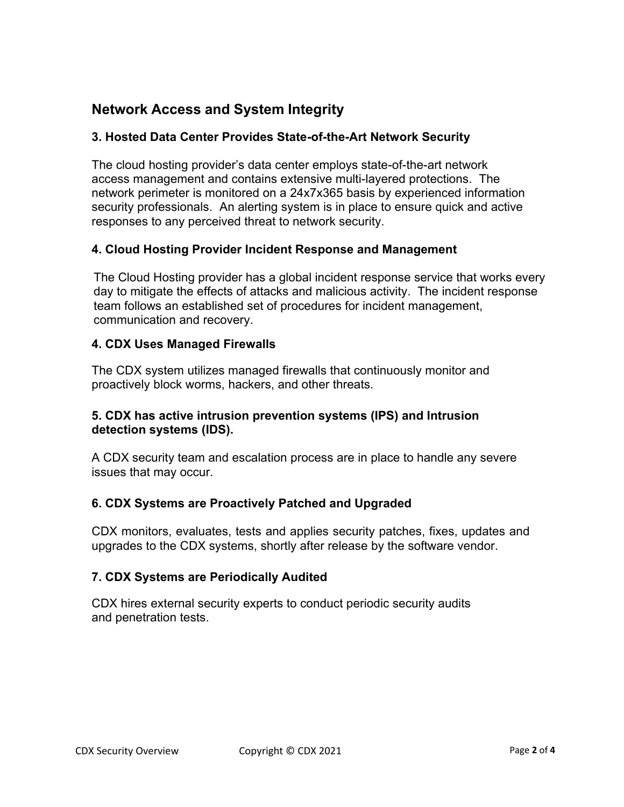# **Network Access and System Integrity**

#### **3. Hosted Data Center Provides State-of-the-Art Network Security**

The cloud hosting provider's data center employs state-of-the-art network access management and contains extensive multi-layered protections. The network perimeter is monitored on a 24x7x365 basis by experienced information security professionals. An alerting system is in place to ensure quick and active responses to any perceived threat to network security.

#### **4. Cloud Hosting Provider Incident Response and Management**

The Cloud Hosting provider has a global incident response service that works every day to mitigate the effects of attacks and malicious activity. The incident response team follows an established set of procedures for incident management, communication and recovery.

#### **4. CDX Uses Managed Firewalls**

The CDX system utilizes managed firewalls that continuously monitor and proactively block worms, hackers, and other threats.

#### **5. CDX has active intrusion prevention systems (IPS) and Intrusion detection systems (IDS).**

A CDX security team and escalation process are in place to handle any severe issues that may occur.

#### **6. CDX Systems are Proactively Patched and Upgraded**

CDX monitors, evaluates, tests and applies security patches, fixes, updates and upgrades to the CDX systems, shortly after release by the software vendor.

#### **7. CDX Systems are Periodically Audited**

CDX hires external security experts to conduct periodic security audits and penetration tests.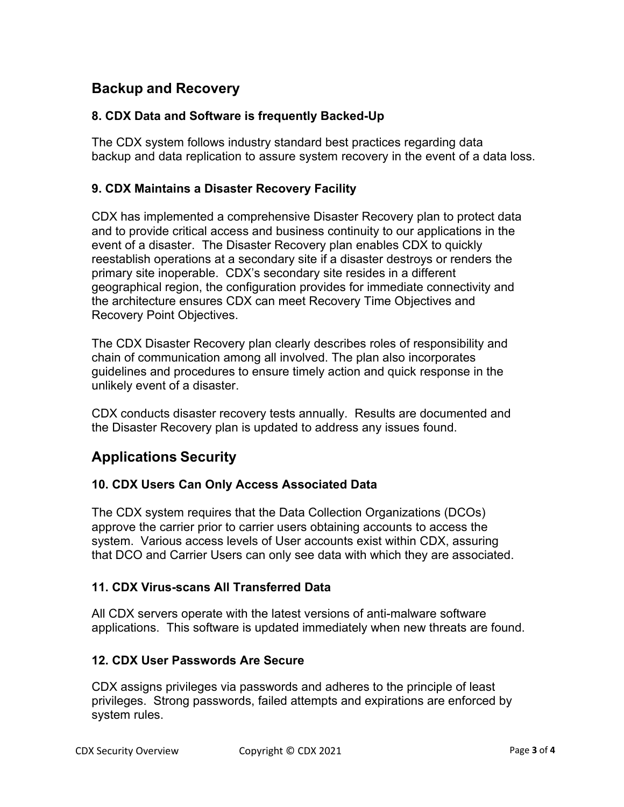# **Backup and Recovery**

### **8. CDX Data and Software is frequently Backed-Up**

The CDX system follows industry standard best practices regarding data backup and data replication to assure system recovery in the event of a data loss.

## **9. CDX Maintains a Disaster Recovery Facility**

CDX has implemented a comprehensive Disaster Recovery plan to protect data and to provide critical access and business continuity to our applications in the event of a disaster. The Disaster Recovery plan enables CDX to quickly reestablish operations at a secondary site if a disaster destroys or renders the primary site inoperable. CDX's secondary site resides in a different geographical region, the configuration provides for immediate connectivity and the architecture ensures CDX can meet Recovery Time Objectives and Recovery Point Objectives.

The CDX Disaster Recovery plan clearly describes roles of responsibility and chain of communication among all involved. The plan also incorporates guidelines and procedures to ensure timely action and quick response in the unlikely event of a disaster.

CDX conducts disaster recovery tests annually. Results are documented and the Disaster Recovery plan is updated to address any issues found.

# **Applications Security**

### **10. CDX Users Can Only Access Associated Data**

The CDX system requires that the Data Collection Organizations (DCOs) approve the carrier prior to carrier users obtaining accounts to access the system. Various access levels of User accounts exist within CDX, assuring that DCO and Carrier Users can only see data with which they are associated.

### **11. CDX Virus-scans All Transferred Data**

All CDX servers operate with the latest versions of anti-malware software applications. This software is updated immediately when new threats are found.

#### **12. CDX User Passwords Are Secure**

CDX assigns privileges via passwords and adheres to the principle of least privileges. Strong passwords, failed attempts and expirations are enforced by system rules.